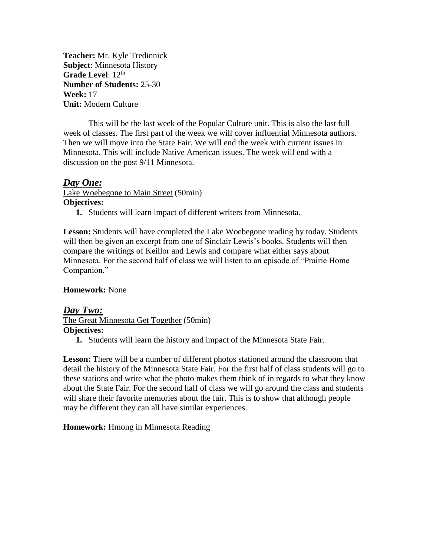**Teacher:** Mr. Kyle Tredinnick **Subject**: Minnesota History **Grade Level:** 12<sup>th</sup> **Number of Students:** 25-30 **Week:** 17 **Unit:** Modern Culture

This will be the last week of the Popular Culture unit. This is also the last full week of classes. The first part of the week we will cover influential Minnesota authors. Then we will move into the State Fair. We will end the week with current issues in Minnesota. This will include Native American issues. The week will end with a discussion on the post 9/11 Minnesota.

# *Day One:*

Lake Woebegone to Main Street (50min) **Objectives:**

**1.** Students will learn impact of different writers from Minnesota.

**Lesson:** Students will have completed the Lake Woebegone reading by today. Students will then be given an excerpt from one of Sinclair Lewis's books. Students will then compare the writings of Keillor and Lewis and compare what either says about Minnesota. For the second half of class we will listen to an episode of "Prairie Home Companion."

### **Homework:** None

#### *Day Two:* The Great Minnesota Get Together (50min) **Objectives:**

**1.** Students will learn the history and impact of the Minnesota State Fair.

Lesson: There will be a number of different photos stationed around the classroom that detail the history of the Minnesota State Fair. For the first half of class students will go to these stations and write what the photo makes them think of in regards to what they know about the State Fair. For the second half of class we will go around the class and students will share their favorite memories about the fair. This is to show that although people may be different they can all have similar experiences.

### **Homework:** Hmong in Minnesota Reading